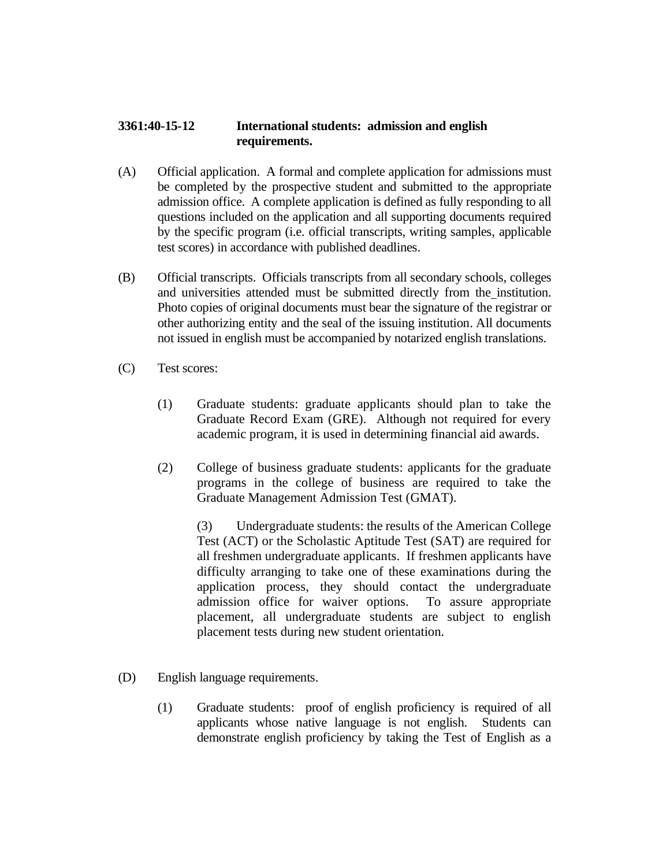## **3361:40-15-12 International students: admission and english requirements.**

- (A) Official application. A formal and complete application for admissions must be completed by the prospective student and submitted to the appropriate admission office. A complete application is defined as fully responding to all questions included on the application and all supporting documents required by the specific program (i.e. official transcripts, writing samples, applicable test scores) in accordance with published deadlines.
- (B) Official transcripts. Officials transcripts from all secondary schools, colleges and universities attended must be submitted directly from the institution. Photo copies of original documents must bear the signature of the registrar or other authorizing entity and the seal of the issuing institution. All documents not issued in english must be accompanied by notarized english translations.
- (C) Test scores:
	- (1) Graduate students: graduate applicants should plan to take the Graduate Record Exam (GRE). Although not required for every academic program, it is used in determining financial aid awards.
	- (2) College of business graduate students: applicants for the graduate programs in the college of business are required to take the Graduate Management Admission Test (GMAT).

(3) Undergraduate students: the results of the American College Test (ACT) or the Scholastic Aptitude Test (SAT) are required for all freshmen undergraduate applicants. If freshmen applicants have difficulty arranging to take one of these examinations during the application process, they should contact the undergraduate admission office for waiver options. To assure appropriate placement, all undergraduate students are subject to english placement tests during new student orientation.

- (D) English language requirements.
	- (1) Graduate students: proof of english proficiency is required of all applicants whose native language is not english. Students can demonstrate english proficiency by taking the Test of English as a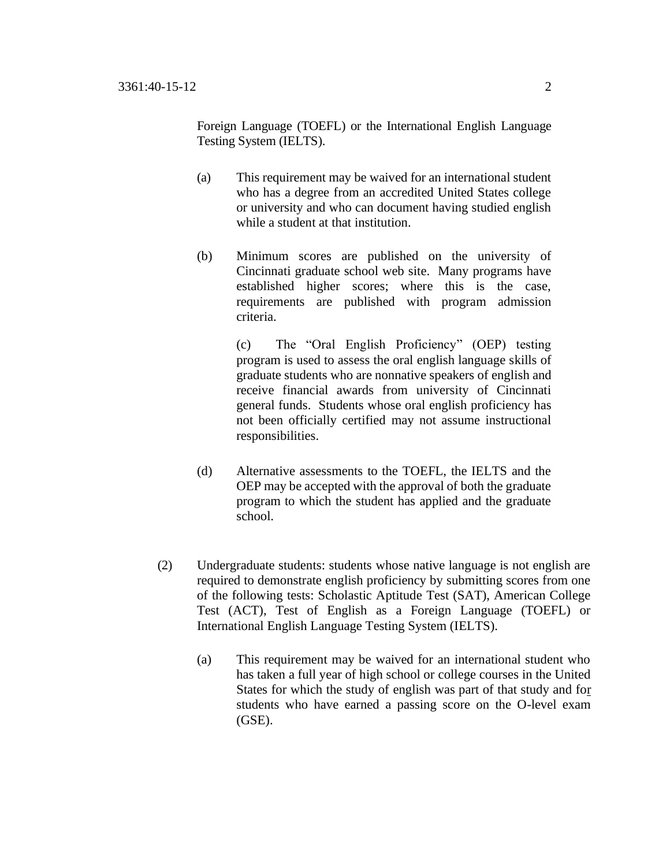Foreign Language (TOEFL) or the International English Language Testing System (IELTS).

- (a) This requirement may be waived for an international student who has a degree from an accredited United States college or university and who can document having studied english while a student at that institution.
- (b) Minimum scores are published on the university of Cincinnati graduate school web site. Many programs have established higher scores; where this is the case, requirements are published with program admission criteria.

(c) The "Oral English Proficiency" (OEP) testing program is used to assess the oral english language skills of graduate students who are nonnative speakers of english and receive financial awards from university of Cincinnati general funds. Students whose oral english proficiency has not been officially certified may not assume instructional responsibilities.

- (d) Alternative assessments to the TOEFL, the IELTS and the OEP may be accepted with the approval of both the graduate program to which the student has applied and the graduate school.
- (2) Undergraduate students: students whose native language is not english are required to demonstrate english proficiency by submitting scores from one of the following tests: Scholastic Aptitude Test (SAT), American College Test (ACT), Test of English as a Foreign Language (TOEFL) or International English Language Testing System (IELTS).
	- (a) This requirement may be waived for an international student who has taken a full year of high school or college courses in the United States for which the study of english was part of that study and for students who have earned a passing score on the O-level exam (GSE).